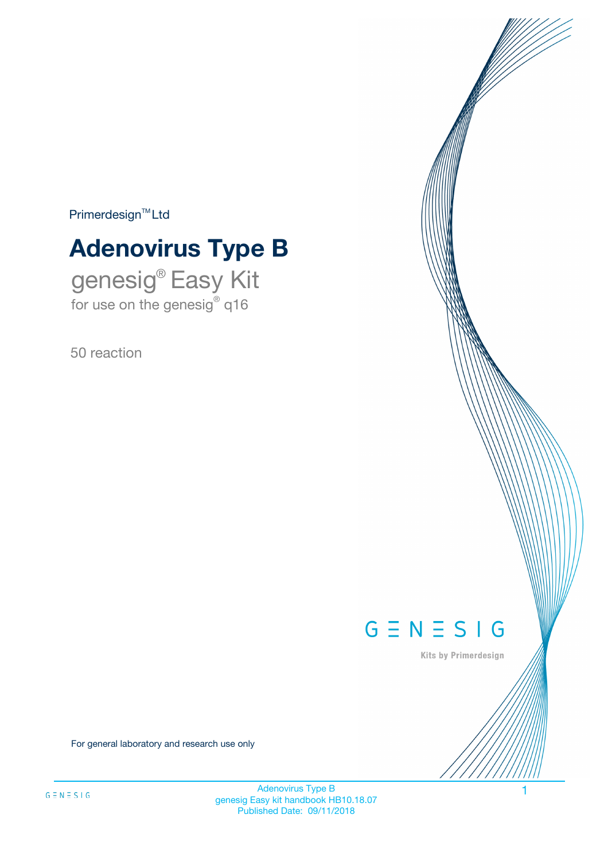$Primerdesign^{\text{TM}}Ltd$ 

# **Adenovirus Type B**

genesig® Easy Kit for use on the genesig® q16

50 reaction



Kits by Primerdesign

For general laboratory and research use only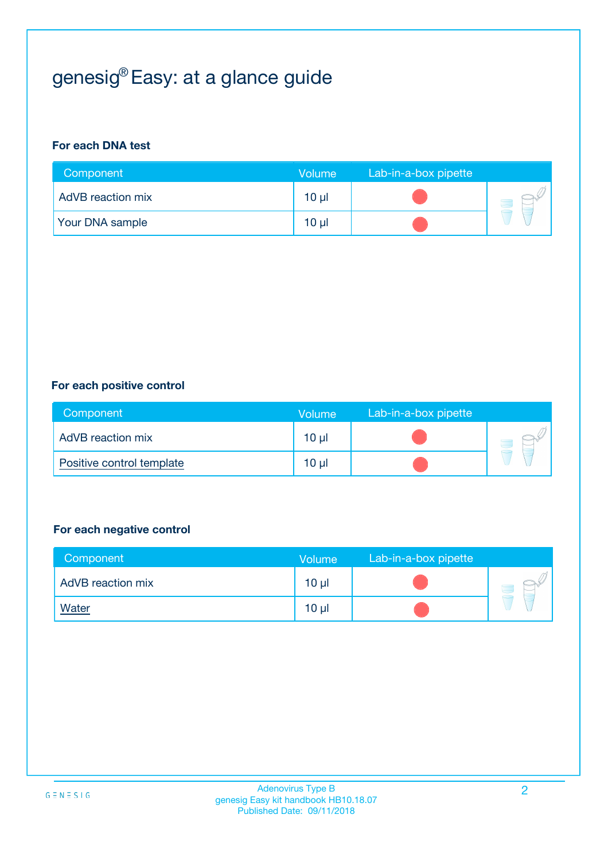# genesig® Easy: at a glance guide

#### **For each DNA test**

| Component                | <b>Volume</b> | Lab-in-a-box pipette |  |
|--------------------------|---------------|----------------------|--|
| <b>AdVB</b> reaction mix | $10 \mu$      |                      |  |
| <b>Your DNA sample</b>   | $10 \mu$      |                      |  |

#### **For each positive control**

| Component                 | Volume          | Lab-in-a-box pipette |  |
|---------------------------|-----------------|----------------------|--|
| AdVB reaction mix         | 10 <sub>µ</sub> |                      |  |
| Positive control template | $10 \mu$        |                      |  |

#### **For each negative control**

| Component         | <b>Volume</b>   | Lab-in-a-box pipette |  |
|-------------------|-----------------|----------------------|--|
| AdVB reaction mix | 10 <sub>µ</sub> |                      |  |
| <u>Water</u>      | 10 <sub>µ</sub> |                      |  |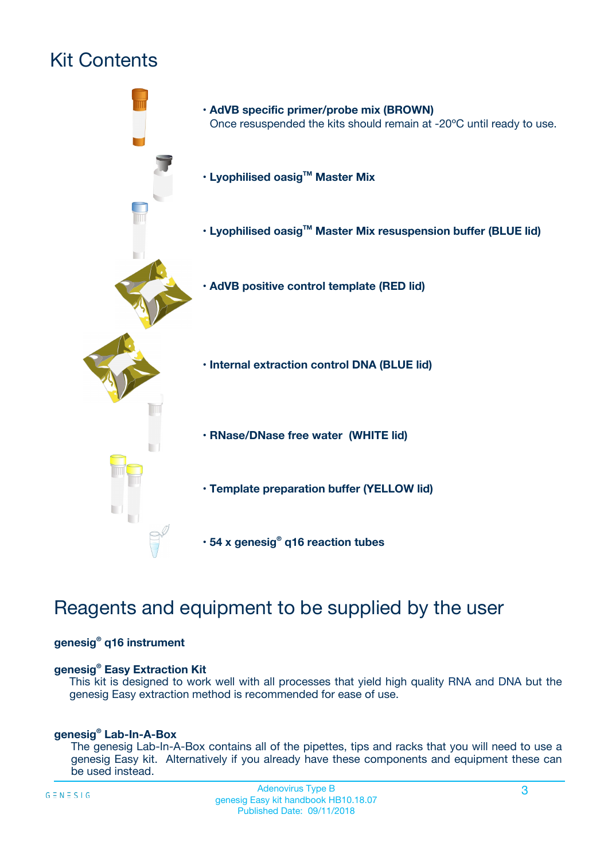# Kit Contents



## Reagents and equipment to be supplied by the user

#### **genesig® q16 instrument**

#### **genesig® Easy Extraction Kit**

This kit is designed to work well with all processes that yield high quality RNA and DNA but the genesig Easy extraction method is recommended for ease of use.

#### **genesig® Lab-In-A-Box**

The genesig Lab-In-A-Box contains all of the pipettes, tips and racks that you will need to use a genesig Easy kit. Alternatively if you already have these components and equipment these can be used instead.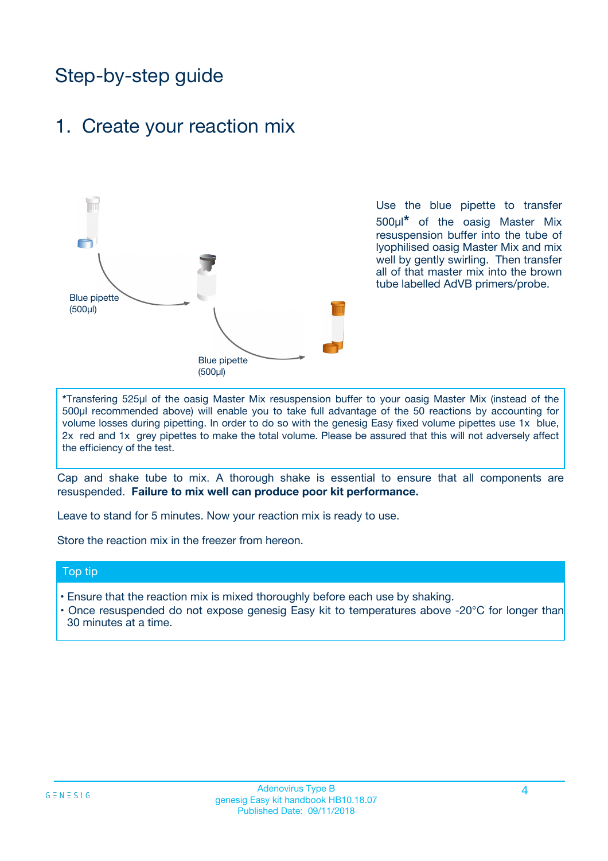## Step-by-step guide

## 1. Create your reaction mix



Use the blue pipette to transfer 500µl**\*** of the oasig Master Mix resuspension buffer into the tube of lyophilised oasig Master Mix and mix well by gently swirling. Then transfer all of that master mix into the brown tube labelled AdVB primers/probe.

**\***Transfering 525µl of the oasig Master Mix resuspension buffer to your oasig Master Mix (instead of the 500µl recommended above) will enable you to take full advantage of the 50 reactions by accounting for volume losses during pipetting. In order to do so with the genesig Easy fixed volume pipettes use 1x blue, 2x red and 1x grey pipettes to make the total volume. Please be assured that this will not adversely affect the efficiency of the test.

Cap and shake tube to mix. A thorough shake is essential to ensure that all components are resuspended. **Failure to mix well can produce poor kit performance.**

Leave to stand for 5 minutes. Now your reaction mix is ready to use.

Store the reaction mix in the freezer from hereon.

#### Top tip

- Ensure that the reaction mix is mixed thoroughly before each use by shaking.
- **•** Once resuspended do not expose genesig Easy kit to temperatures above -20°C for longer than 30 minutes at a time.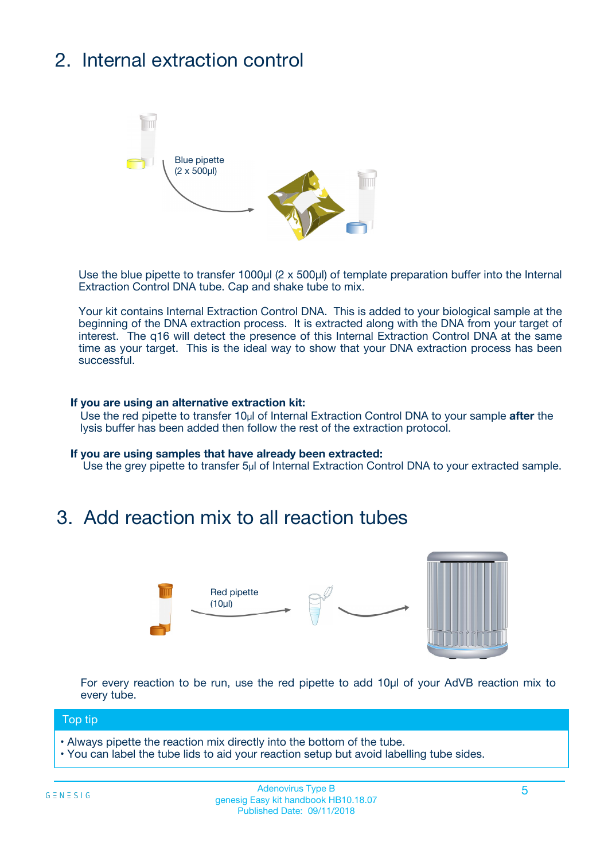# 2. Internal extraction control



Use the blue pipette to transfer 1000µl (2 x 500µl) of template preparation buffer into the Internal Extraction Control DNA tube. Cap and shake tube to mix.

Your kit contains Internal Extraction Control DNA. This is added to your biological sample at the beginning of the DNA extraction process. It is extracted along with the DNA from your target of interest. The q16 will detect the presence of this Internal Extraction Control DNA at the same time as your target. This is the ideal way to show that your DNA extraction process has been **successful.** 

#### **If you are using an alternative extraction kit:**

Use the red pipette to transfer 10µl of Internal Extraction Control DNA to your sample **after** the lysis buffer has been added then follow the rest of the extraction protocol.

#### **If you are using samples that have already been extracted:**

Use the grey pipette to transfer 5µl of Internal Extraction Control DNA to your extracted sample.

## 3. Add reaction mix to all reaction tubes



For every reaction to be run, use the red pipette to add 10µl of your AdVB reaction mix to every tube.

#### Top tip

- Always pipette the reaction mix directly into the bottom of the tube.
- You can label the tube lids to aid your reaction setup but avoid labelling tube sides.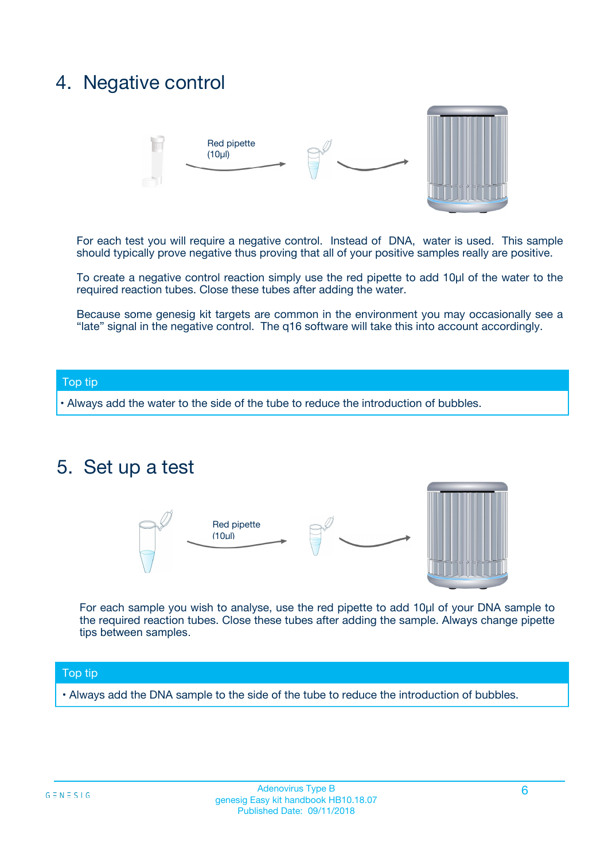## 4. Negative control



For each test you will require a negative control. Instead of DNA, water is used. This sample should typically prove negative thus proving that all of your positive samples really are positive.

To create a negative control reaction simply use the red pipette to add 10µl of the water to the required reaction tubes. Close these tubes after adding the water.

Because some genesig kit targets are common in the environment you may occasionally see a "late" signal in the negative control. The q16 software will take this into account accordingly.

#### Top tip

**•** Always add the water to the side of the tube to reduce the introduction of bubbles.

### 5. Set up a test



For each sample you wish to analyse, use the red pipette to add 10µl of your DNA sample to the required reaction tubes. Close these tubes after adding the sample. Always change pipette tips between samples.

#### Top tip

**•** Always add the DNA sample to the side of the tube to reduce the introduction of bubbles.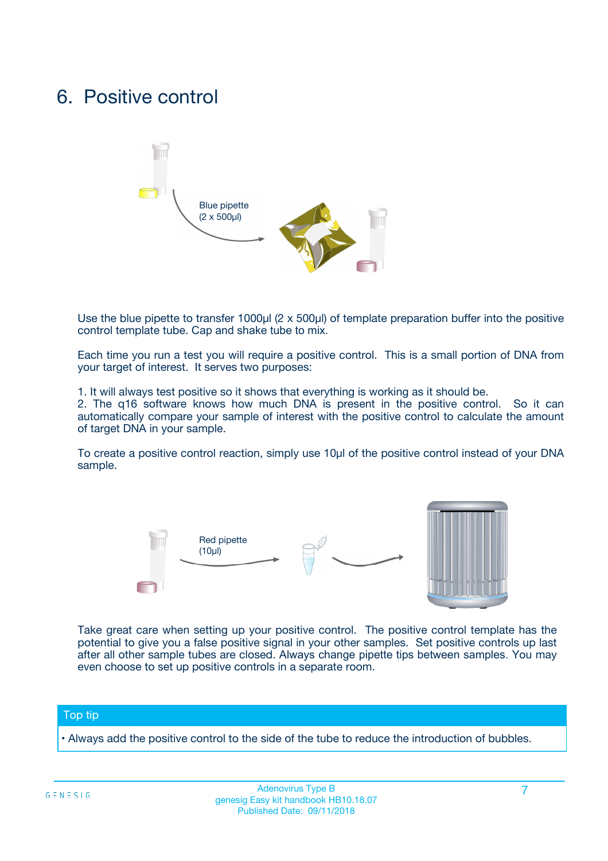## 6. Positive control



Use the blue pipette to transfer 1000µl (2 x 500µl) of template preparation buffer into the positive control template tube. Cap and shake tube to mix.

Each time you run a test you will require a positive control. This is a small portion of DNA from your target of interest. It serves two purposes:

1. It will always test positive so it shows that everything is working as it should be.

2. The q16 software knows how much DNA is present in the positive control. So it can automatically compare your sample of interest with the positive control to calculate the amount of target DNA in your sample.

To create a positive control reaction, simply use 10µl of the positive control instead of your DNA sample.



Take great care when setting up your positive control. The positive control template has the potential to give you a false positive signal in your other samples. Set positive controls up last after all other sample tubes are closed. Always change pipette tips between samples. You may even choose to set up positive controls in a separate room.

#### Top tip

**•** Always add the positive control to the side of the tube to reduce the introduction of bubbles.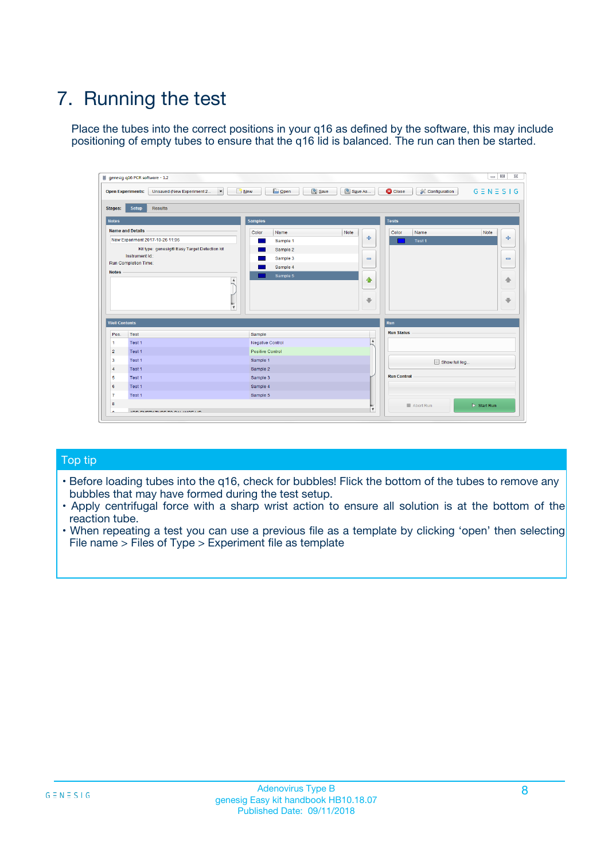# 7. Running the test

Place the tubes into the correct positions in your q16 as defined by the software, this may include positioning of empty tubes to ensure that the q16 lid is balanced. The run can then be started.

| qenesig q16 PCR software - 1.2                                               |                                   | $\Box$                                                                                          |
|------------------------------------------------------------------------------|-----------------------------------|-------------------------------------------------------------------------------------------------|
| $\vert \cdot \vert$<br>Unsaved (New Experiment 2<br><b>Open Experiments:</b> | <b>D</b> Open<br>R <sub>New</sub> | Save<br>Save As<br><b>C</b> Close<br><b>&amp; Configuration</b><br>$G \equiv N \equiv S \mid G$ |
| <b>Setup</b><br><b>Results</b><br>Stages:                                    |                                   |                                                                                                 |
| <b>Notes</b>                                                                 | <b>Samples</b>                    | <b>Tests</b>                                                                                    |
| <b>Name and Details</b>                                                      | Name<br>Color                     | Note<br>Color<br>Note<br>Name                                                                   |
| New Experiment 2017-10-26 11:06                                              | Sample 1                          | ÷<br>条<br>Test 1                                                                                |
| Kit type: genesig® Easy Target Detection kit                                 | Sample 2                          |                                                                                                 |
| Instrument Id.:                                                              | Sample 3                          | $\qquad \qquad \blacksquare$<br>$\qquad \qquad \blacksquare$                                    |
| <b>Run Completion Time:</b>                                                  | Sample 4                          |                                                                                                 |
| <b>Notes</b><br><b>A</b><br>$\overline{\mathbf v}$                           | Sample 5                          | ♦<br>4<br>÷<br>₩                                                                                |
| <b>Well Contents</b>                                                         |                                   | <b>Run</b>                                                                                      |
| Pos.<br>Test                                                                 | Sample                            | <b>Run Status</b>                                                                               |
| Test 1<br>$\blacktriangleleft$                                               | Negative Control                  | $\blacktriangle$                                                                                |
| $\overline{2}$<br>Test 1                                                     | <b>Positive Control</b>           |                                                                                                 |
| $\overline{\mathbf{3}}$<br>Test 1                                            | Sample 1                          | Show full log                                                                                   |
| Test 1<br>4                                                                  | Sample 2                          |                                                                                                 |
| 5<br>Test 1                                                                  | Sample 3                          | <b>Run Control</b>                                                                              |
| Test 1<br>6                                                                  | Sample 4                          |                                                                                                 |
| $\overline{7}$<br>Test 1                                                     | Sample 5                          |                                                                                                 |
| 8                                                                            |                                   | $\triangleright$ Start Run<br>Abort Run                                                         |
| <b>JOD FURTY TUDE TO BUILDED IN</b>                                          |                                   | $\overline{\mathbf{v}}$                                                                         |

#### Top tip

- Before loading tubes into the q16, check for bubbles! Flick the bottom of the tubes to remove any bubbles that may have formed during the test setup.
- Apply centrifugal force with a sharp wrist action to ensure all solution is at the bottom of the reaction tube.
- When repeating a test you can use a previous file as a template by clicking 'open' then selecting File name > Files of Type > Experiment file as template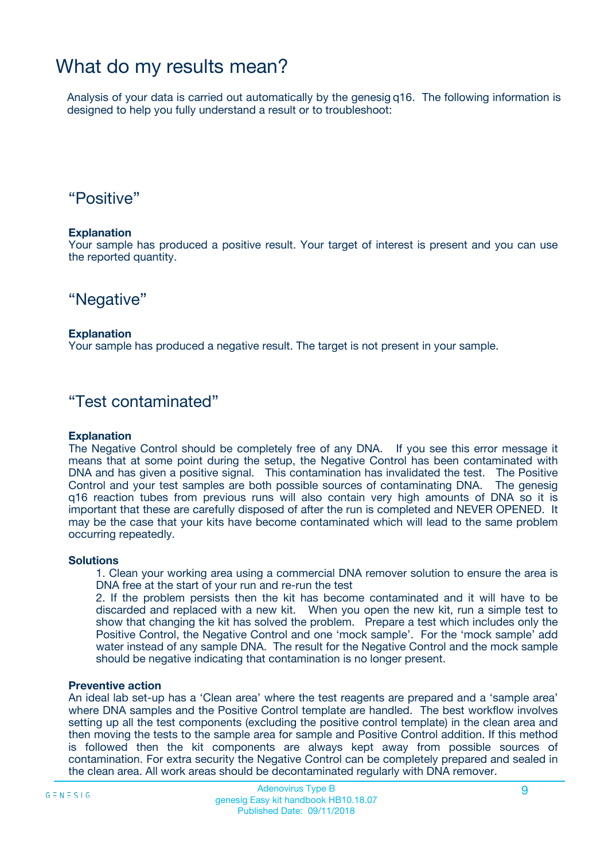## What do my results mean?

Analysis of your data is carried out automatically by the genesig q16. The following information is designed to help you fully understand a result or to troubleshoot:

### "Positive"

#### **Explanation**

Your sample has produced a positive result. Your target of interest is present and you can use the reported quantity.

"Negative"

#### **Explanation**

Your sample has produced a negative result. The target is not present in your sample.

### "Test contaminated"

#### **Explanation**

The Negative Control should be completely free of any DNA. If you see this error message it means that at some point during the setup, the Negative Control has been contaminated with DNA and has given a positive signal. This contamination has invalidated the test. The Positive Control and your test samples are both possible sources of contaminating DNA. The genesig q16 reaction tubes from previous runs will also contain very high amounts of DNA so it is important that these are carefully disposed of after the run is completed and NEVER OPENED. It may be the case that your kits have become contaminated which will lead to the same problem occurring repeatedly.

#### **Solutions**

1. Clean your working area using a commercial DNA remover solution to ensure the area is DNA free at the start of your run and re-run the test

2. If the problem persists then the kit has become contaminated and it will have to be discarded and replaced with a new kit. When you open the new kit, run a simple test to show that changing the kit has solved the problem. Prepare a test which includes only the Positive Control, the Negative Control and one 'mock sample'. For the 'mock sample' add water instead of any sample DNA. The result for the Negative Control and the mock sample should be negative indicating that contamination is no longer present.

#### **Preventive action**

An ideal lab set-up has a 'Clean area' where the test reagents are prepared and a 'sample area' where DNA samples and the Positive Control template are handled. The best workflow involves setting up all the test components (excluding the positive control template) in the clean area and then moving the tests to the sample area for sample and Positive Control addition. If this method is followed then the kit components are always kept away from possible sources of contamination. For extra security the Negative Control can be completely prepared and sealed in the clean area. All work areas should be decontaminated regularly with DNA remover.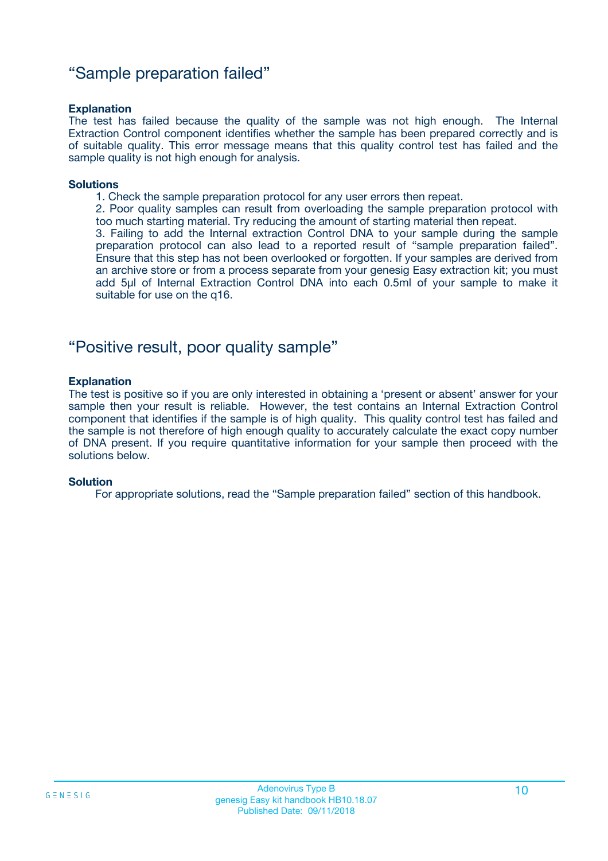### "Sample preparation failed"

#### **Explanation**

The test has failed because the quality of the sample was not high enough. The Internal Extraction Control component identifies whether the sample has been prepared correctly and is of suitable quality. This error message means that this quality control test has failed and the sample quality is not high enough for analysis.

#### **Solutions**

1. Check the sample preparation protocol for any user errors then repeat.

2. Poor quality samples can result from overloading the sample preparation protocol with too much starting material. Try reducing the amount of starting material then repeat.

3. Failing to add the Internal extraction Control DNA to your sample during the sample preparation protocol can also lead to a reported result of "sample preparation failed". Ensure that this step has not been overlooked or forgotten. If your samples are derived from an archive store or from a process separate from your genesig Easy extraction kit; you must add 5µl of Internal Extraction Control DNA into each 0.5ml of your sample to make it suitable for use on the q16.

### "Positive result, poor quality sample"

#### **Explanation**

The test is positive so if you are only interested in obtaining a 'present or absent' answer for your sample then your result is reliable. However, the test contains an Internal Extraction Control component that identifies if the sample is of high quality. This quality control test has failed and the sample is not therefore of high enough quality to accurately calculate the exact copy number of DNA present. If you require quantitative information for your sample then proceed with the solutions below.

#### **Solution**

For appropriate solutions, read the "Sample preparation failed" section of this handbook.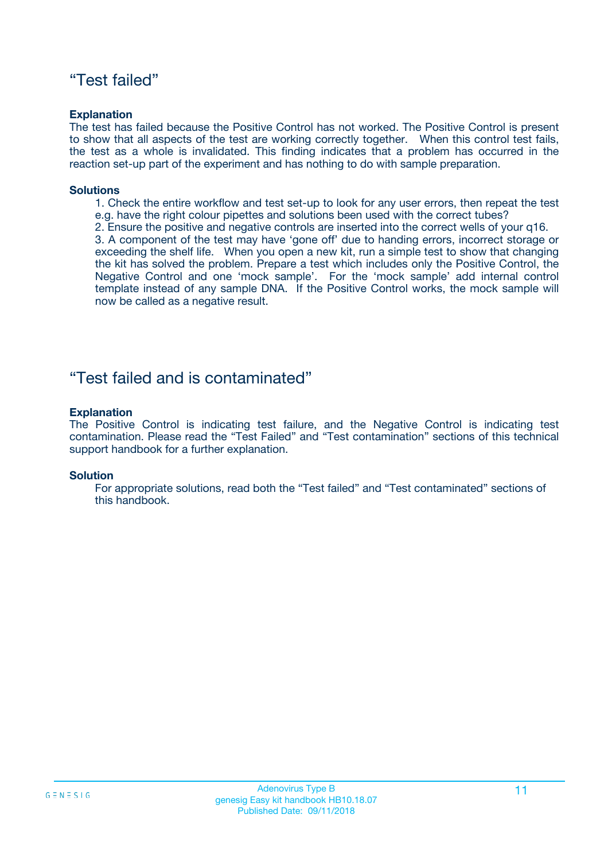### "Test failed"

#### **Explanation**

The test has failed because the Positive Control has not worked. The Positive Control is present to show that all aspects of the test are working correctly together. When this control test fails, the test as a whole is invalidated. This finding indicates that a problem has occurred in the reaction set-up part of the experiment and has nothing to do with sample preparation.

#### **Solutions**

- 1. Check the entire workflow and test set-up to look for any user errors, then repeat the test e.g. have the right colour pipettes and solutions been used with the correct tubes?
- 2. Ensure the positive and negative controls are inserted into the correct wells of your q16.

3. A component of the test may have 'gone off' due to handing errors, incorrect storage or exceeding the shelf life. When you open a new kit, run a simple test to show that changing the kit has solved the problem. Prepare a test which includes only the Positive Control, the Negative Control and one 'mock sample'. For the 'mock sample' add internal control template instead of any sample DNA. If the Positive Control works, the mock sample will now be called as a negative result.

### "Test failed and is contaminated"

#### **Explanation**

The Positive Control is indicating test failure, and the Negative Control is indicating test contamination. Please read the "Test Failed" and "Test contamination" sections of this technical support handbook for a further explanation.

#### **Solution**

For appropriate solutions, read both the "Test failed" and "Test contaminated" sections of this handbook.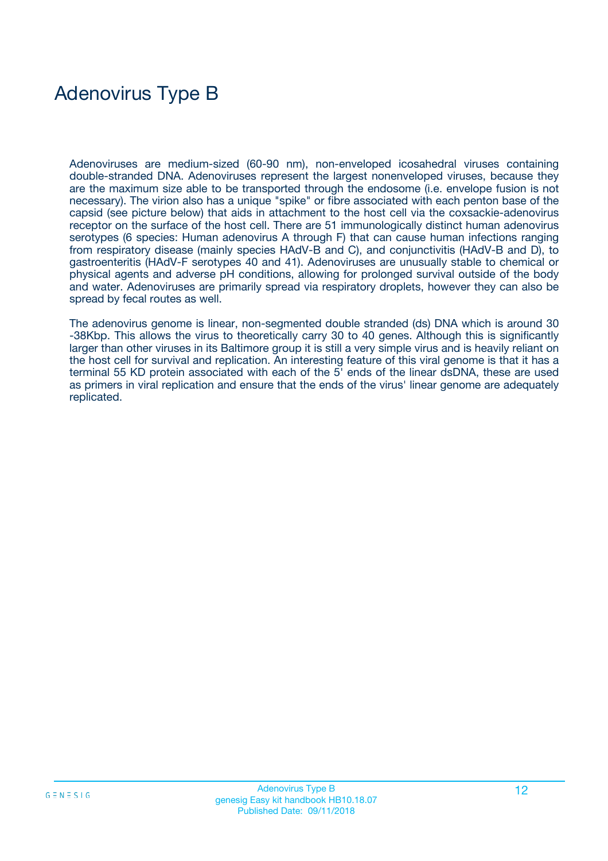# Adenovirus Type B

Adenoviruses are medium-sized (60-90 nm), non-enveloped icosahedral viruses containing double-stranded DNA. Adenoviruses represent the largest nonenveloped viruses, because they are the maximum size able to be transported through the endosome (i.e. envelope fusion is not necessary). The virion also has a unique "spike" or fibre associated with each penton base of the capsid (see picture below) that aids in attachment to the host cell via the coxsackie-adenovirus receptor on the surface of the host cell. There are 51 immunologically distinct human adenovirus serotypes (6 species: Human adenovirus A through F) that can cause human infections ranging from respiratory disease (mainly species HAdV-B and C), and conjunctivitis (HAdV-B and D), to gastroenteritis (HAdV-F serotypes 40 and 41). Adenoviruses are unusually stable to chemical or physical agents and adverse pH conditions, allowing for prolonged survival outside of the body and water. Adenoviruses are primarily spread via respiratory droplets, however they can also be spread by fecal routes as well.

The adenovirus genome is linear, non-segmented double stranded (ds) DNA which is around 30 -38Kbp. This allows the virus to theoretically carry 30 to 40 genes. Although this is significantly larger than other viruses in its Baltimore group it is still a very simple virus and is heavily reliant on the host cell for survival and replication. An interesting feature of this viral genome is that it has a terminal 55 KD protein associated with each of the 5' ends of the linear dsDNA, these are used as primers in viral replication and ensure that the ends of the virus' linear genome are adequately replicated.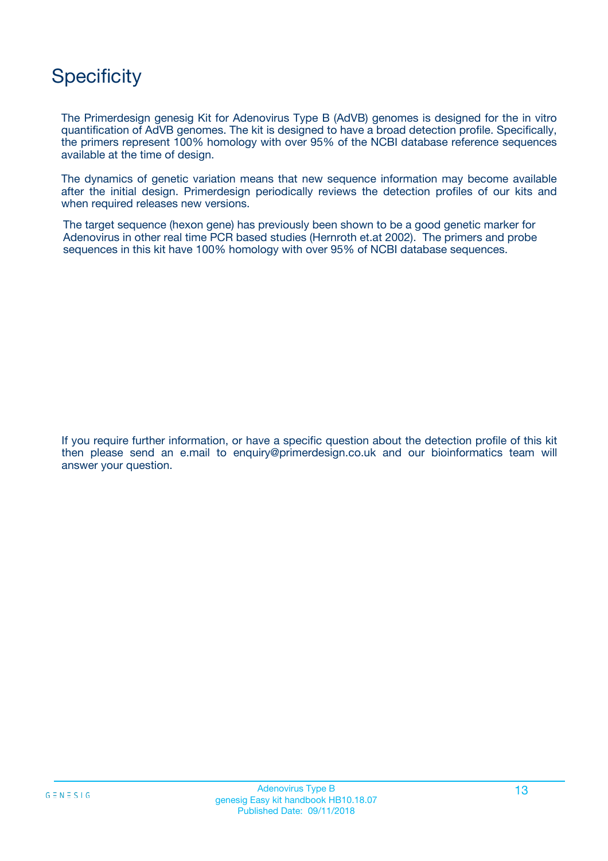## **Specificity**

The Primerdesign genesig Kit for Adenovirus Type B (AdVB) genomes is designed for the in vitro quantification of AdVB genomes. The kit is designed to have a broad detection profile. Specifically, the primers represent 100% homology with over 95% of the NCBI database reference sequences available at the time of design.

The dynamics of genetic variation means that new sequence information may become available after the initial design. Primerdesign periodically reviews the detection profiles of our kits and when required releases new versions.

The target sequence (hexon gene) has previously been shown to be a good genetic marker for Adenovirus in other real time PCR based studies (Hernroth et.at 2002). The primers and probe sequences in this kit have 100% homology with over 95% of NCBI database sequences.

If you require further information, or have a specific question about the detection profile of this kit then please send an e.mail to enquiry@primerdesign.co.uk and our bioinformatics team will answer your question.